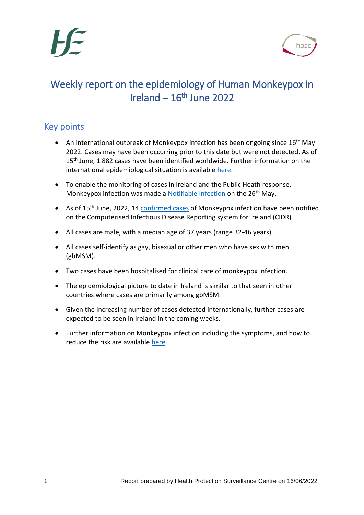

## Weekly report on the epidemiology of Human Monkeypox in  $I$ reland –  $16<sup>th</sup>$  June 2022

## Key points

- An international outbreak of Monkeypox infection has been ongoing since  $16<sup>th</sup>$  May 2022. Cases may have been occurring prior to this date but were not detected. As of 15<sup>th</sup> June, 1 882 cases have been identified worldwide. Further information on the international epidemiological situation is available [here.](https://www.ecdc.europa.eu/en/monkeypox-outbreak)
- To enable the monitoring of cases in Ireland and the Public Heath response, Monkeypox infection was made a [Notifiable Infection](https://www.hpsc.ie/notifiablediseases/resources/epidemiologicalweeks/) on the 26<sup>th</sup> May.
- As of 15<sup>th</sup> June, 2022, 14 [confirmed cases](https://www.hpsc.ie/a-z/zoonotic/monkeypox/casedefinition/) of Monkeypox infection have been notified on the Computerised Infectious Disease Reporting system for Ireland (CIDR)
- All cases are male, with a median age of 37 years (range 32-46 years).
- All cases self-identify as gay, bisexual or other men who have sex with men (gbMSM).
- Two cases have been hospitalised for clinical care of monkeypox infection.
- The epidemiological picture to date in Ireland is similar to that seen in other countries where cases are primarily among gbMSM.
- Given the increasing number of cases detected internationally, further cases are expected to be seen in Ireland in the coming weeks.
- Further information on Monkeypox infection including the symptoms, and how to reduce the risk are available [here.](https://www.hpsc.ie/a-z/zoonotic/monkeypox/factsheets/)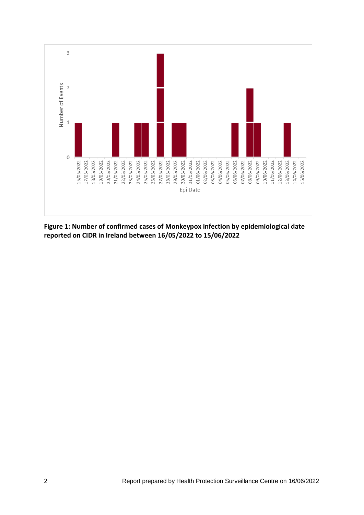

**Figure 1: Number of confirmed cases of Monkeypox infection by epidemiological date reported on CIDR in Ireland between 16/05/2022 to 15/06/2022**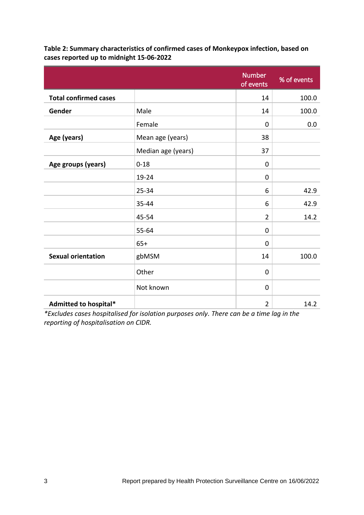|                              |                    | <b>Number</b><br>of events | % of events |
|------------------------------|--------------------|----------------------------|-------------|
| <b>Total confirmed cases</b> |                    | 14                         | 100.0       |
| Gender                       | Male               | 14                         | 100.0       |
|                              | Female             | 0                          | 0.0         |
| Age (years)                  | Mean age (years)   | 38                         |             |
|                              | Median age (years) | 37                         |             |
| Age groups (years)           | $0 - 18$           | 0                          |             |
|                              | 19-24              | $\mathbf 0$                |             |
|                              | $25 - 34$          | 6                          | 42.9        |
|                              | 35-44              | 6                          | 42.9        |
|                              | 45-54              | $\overline{2}$             | 14.2        |
|                              | 55-64              | 0                          |             |
|                              | $65+$              | $\overline{0}$             |             |
| <b>Sexual orientation</b>    | gbMSM              | 14                         | 100.0       |
|                              | Other              | 0                          |             |
|                              | Not known          | $\mathbf 0$                |             |
| Admitted to hospital*        |                    | $\overline{2}$             | 14.2        |

**Table 2: Summary characteristics of confirmed cases of Monkeypox infection, based on cases reported up to midnight 15-06-2022**

*\*Excludes cases hospitalised for isolation purposes only. There can be a time lag in the reporting of hospitalisation on CIDR.*